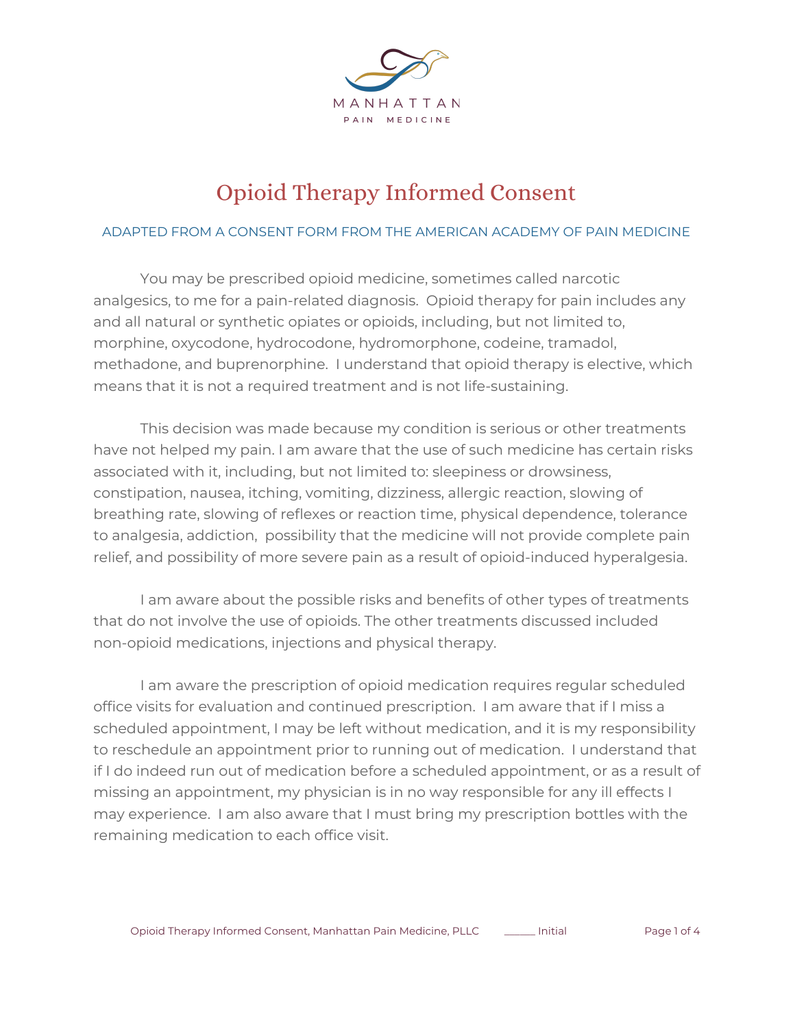

## Opioid Therapy Informed Consent

## ADAPTED FROM A CONSENT FORM FROM THE AMERICAN ACADEMY OF PAIN MEDICINE

You may be prescribed opioid medicine, sometimes called narcotic analgesics, to me for a pain-related diagnosis. Opioid therapy for pain includes any and all natural or synthetic opiates or opioids, including, but not limited to, morphine, oxycodone, hydrocodone, hydromorphone, codeine, tramadol, methadone, and buprenorphine. I understand that opioid therapy is elective, which means that it is not a required treatment and is not life-sustaining.

This decision was made because my condition is serious or other treatments have not helped my pain. I am aware that the use of such medicine has certain risks associated with it, including, but not limited to: sleepiness or drowsiness, constipation, nausea, itching, vomiting, dizziness, allergic reaction, slowing of breathing rate, slowing of reflexes or reaction time, physical dependence, tolerance to analgesia, addiction, possibility that the medicine will not provide complete pain relief, and possibility of more severe pain as a result of opioid-induced hyperalgesia.

I am aware about the possible risks and benefits of other types of treatments that do not involve the use of opioids. The other treatments discussed included non-opioid medications, injections and physical therapy.

I am aware the prescription of opioid medication requires regular scheduled office visits for evaluation and continued prescription. I am aware that if I miss a scheduled appointment, I may be left without medication, and it is my responsibility to reschedule an appointment prior to running out of medication. I understand that if I do indeed run out of medication before a scheduled appointment, or as a result of missing an appointment, my physician is in no way responsible for any ill effects I may experience. I am also aware that I must bring my prescription bottles with the remaining medication to each office visit.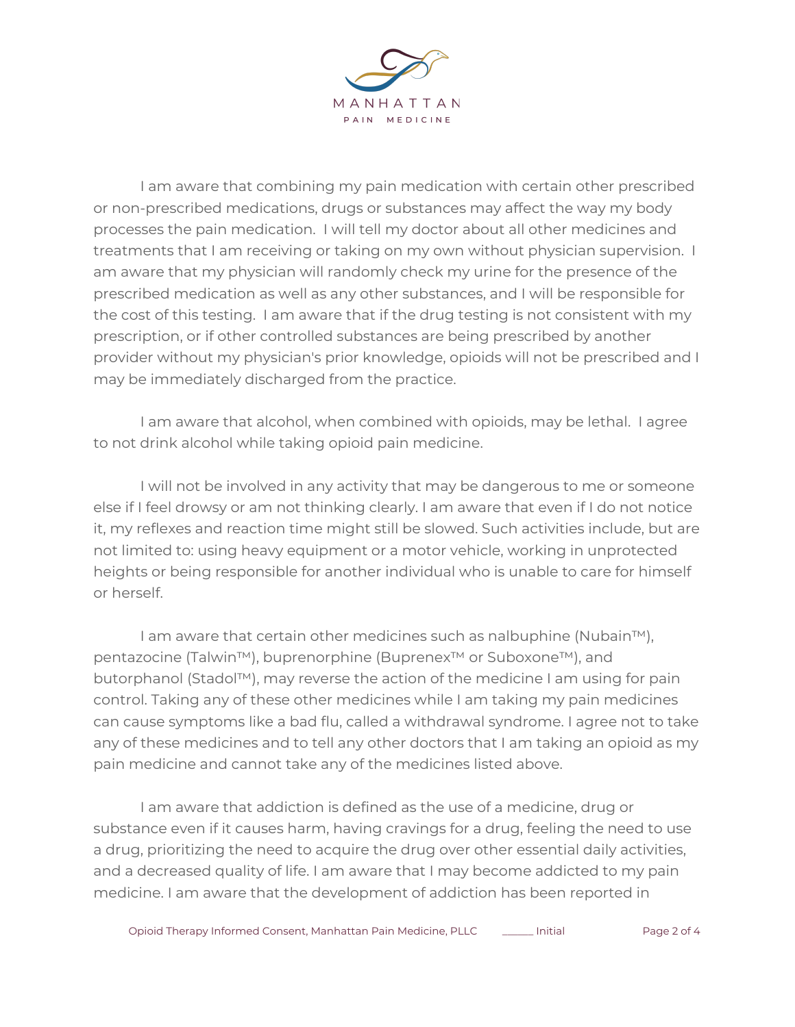

I am aware that combining my pain medication with certain other prescribed or non-prescribed medications, drugs or substances may affect the way my body processes the pain medication. I will tell my doctor about all other medicines and treatments that I am receiving or taking on my own without physician supervision. I am aware that my physician will randomly check my urine for the presence of the prescribed medication as well as any other substances, and I will be responsible for the cost of this testing. I am aware that if the drug testing is not consistent with my prescription, or if other controlled substances are being prescribed by another provider without my physician's prior knowledge, opioids will not be prescribed and I may be immediately discharged from the practice.

I am aware that alcohol, when combined with opioids, may be lethal. I agree to not drink alcohol while taking opioid pain medicine.

I will not be involved in any activity that may be dangerous to me or someone else if I feel drowsy or am not thinking clearly. I am aware that even if I do not notice it, my reflexes and reaction time might still be slowed. Such activities include, but are not limited to: using heavy equipment or a motor vehicle, working in unprotected heights or being responsible for another individual who is unable to care for himself or herself.

I am aware that certain other medicines such as nalbuphine (Nubain™), pentazocine (Talwin™), buprenorphine (Buprenex<sup>™</sup> or Suboxone<sup>™</sup>), and butorphanol (Stadol™), may reverse the action of the medicine I am using for pain control. Taking any of these other medicines while I am taking my pain medicines can cause symptoms like a bad flu, called a withdrawal syndrome. I agree not to take any of these medicines and to tell any other doctors that I am taking an opioid as my pain medicine and cannot take any of the medicines listed above.

I am aware that addiction is defined as the use of a medicine, drug or substance even if it causes harm, having cravings for a drug, feeling the need to use a drug, prioritizing the need to acquire the drug over other essential daily activities, and a decreased quality of life. I am aware that I may become addicted to my pain medicine. I am aware that the development of addiction has been reported in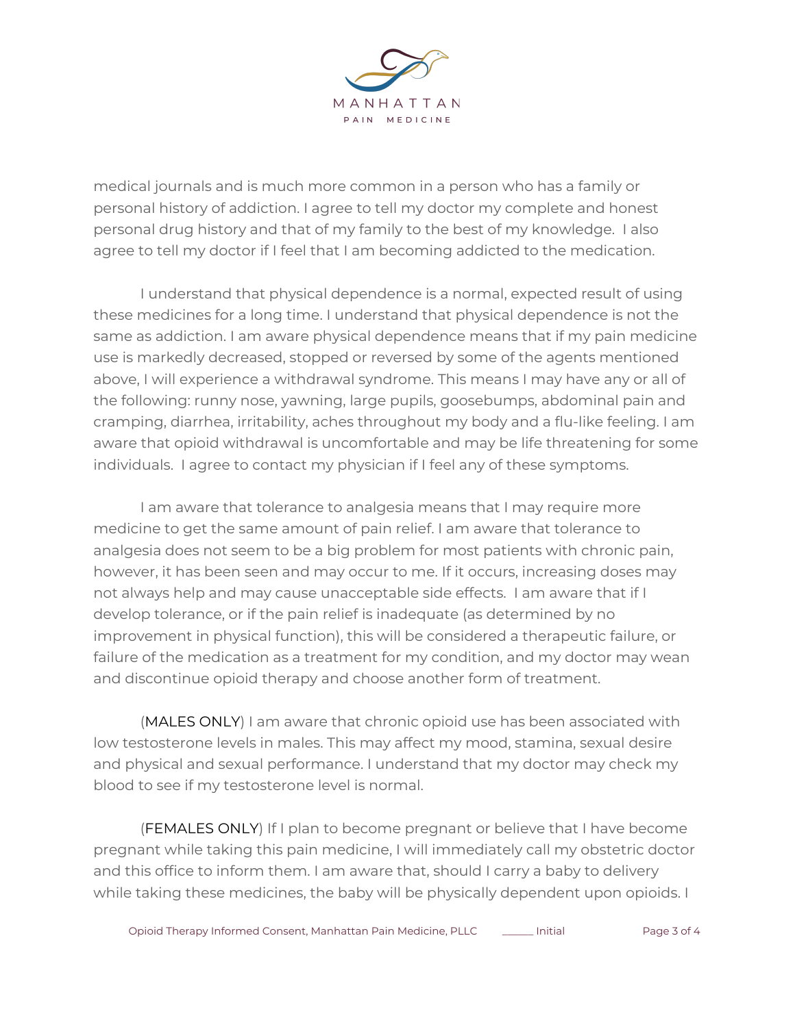

medical journals and is much more common in a person who has a family or personal history of addiction. I agree to tell my doctor my complete and honest personal drug history and that of my family to the best of my knowledge. I also agree to tell my doctor if I feel that I am becoming addicted to the medication.

I understand that physical dependence is a normal, expected result of using these medicines for a long time. I understand that physical dependence is not the same as addiction. I am aware physical dependence means that if my pain medicine use is markedly decreased, stopped or reversed by some of the agents mentioned above, I will experience a withdrawal syndrome. This means I may have any or all of the following: runny nose, yawning, large pupils, goosebumps, abdominal pain and cramping, diarrhea, irritability, aches throughout my body and a flu-like feeling. I am aware that opioid withdrawal is uncomfortable and may be life threatening for some individuals. I agree to contact my physician if I feel any of these symptoms.

I am aware that tolerance to analgesia means that I may require more medicine to get the same amount of pain relief. I am aware that tolerance to analgesia does not seem to be a big problem for most patients with chronic pain, however, it has been seen and may occur to me. If it occurs, increasing doses may not always help and may cause unacceptable side effects. I am aware that if I develop tolerance, or if the pain relief is inadequate (as determined by no improvement in physical function), this will be considered a therapeutic failure, or failure of the medication as a treatment for my condition, and my doctor may wean and discontinue opioid therapy and choose another form of treatment.

(MALES ONLY) I am aware that chronic opioid use has been associated with low testosterone levels in males. This may affect my mood, stamina, sexual desire and physical and sexual performance. I understand that my doctor may check my blood to see if my testosterone level is normal.

(FEMALES ONLY) If I plan to become pregnant or believe that I have become pregnant while taking this pain medicine, I will immediately call my obstetric doctor and this office to inform them. I am aware that, should I carry a baby to delivery while taking these medicines, the baby will be physically dependent upon opioids. I